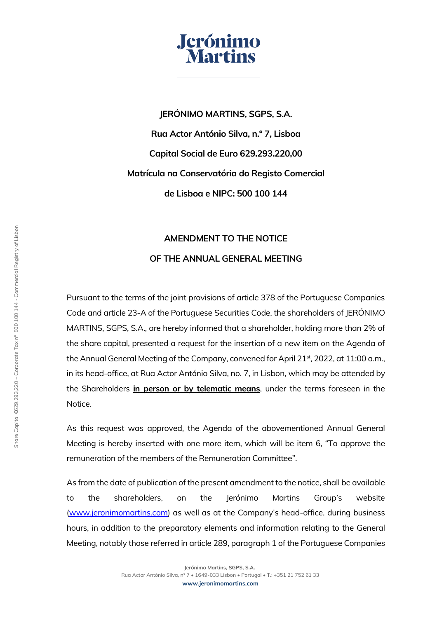

**JERÓNIMO MARTINS, SGPS, S.A. Rua Actor António Silva, n.º 7, Lisboa Capital Social de Euro 629.293.220,00 Matrícula na Conservatória do Registo Comercial de Lisboa e NIPC: 500 100 144**

## **AMENDMENT TO THE NOTICE**

## **OF THE ANNUAL GENERAL MEETING**

Pursuant to the terms of the joint provisions of article 378 of the Portuguese Companies Code and article 23-A of the Portuguese Securities Code, the shareholders of JERÓNIMO MARTINS, SGPS, S.A., are hereby informed that a shareholder, holding more than 2% of the share capital, presented a request for the insertion of a new item on the Agenda of the Annual General Meeting of the Company, convened for April 21<sup>st</sup>, 2022, at 11:00 a.m., in its head-office, at Rua Actor António Silva, no. 7, in Lisbon, which may be attended by the Shareholders **in person or by telematic means**, under the terms foreseen in the Notice.

As this request was approved, the Agenda of the abovementioned Annual General Meeting is hereby inserted with one more item, which will be item 6, "To approve the remuneration of the members of the Remuneration Committee".

As from the date of publication of the present amendment to the notice, shall be available to the shareholders, on the Jerónimo Martins Group's website [\(www.jeronimomartins.com](http://www.jeronimomartins.com/)) as well as at the Company's head-office, during business hours, in addition to the preparatory elements and information relating to the General Meeting, notably those referred in article 289, paragraph 1 of the Portuguese Companies